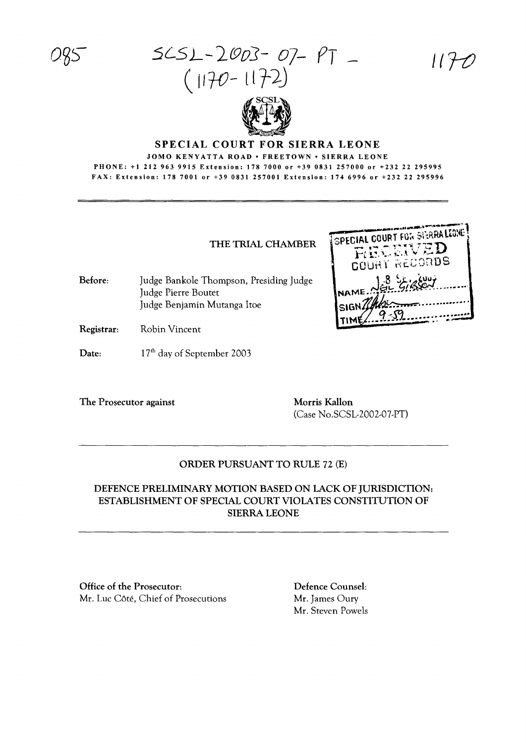5C5L-2(9o]- *07- PT*  $(1170 - 1172)$ 



## SPECIAL COURT FOR SIERRA LEONE

JOMO KENYATTA ROAD · FREETOWN · SIERRA LEONE PHONE: +12129639915 Extension: 178 7000 or +39 0831 257000 or +232 22 295995 FAX: Extension: 178 7001 or +39 0831257001 Extension: 1746996 or +232 22 295996

THE TRIAL CHAMBER

Before: Judge Bankole Thompson, Presiding Judge Judge Pierre Boutet Judge Benjamin Mutanga ltoe

Registrar: Robin Vincent

Date: 17<sup>th</sup> day of September 2003

The Prosecutor against Morris Kallon

(Case No.SCSL-2002-07-PT)

#### ORDER PURSUANT TO RULE 72 (E)

# DEFENCE PRELIMINARY MOTION BASED ON LACK OF JURISDICTION: ESTABLISHMENT OF SPECIAL COURT VIOLATES CONSTITUTION OF SIERRA LEONE

Office of the Prosecutor: Mr. Luc Côté, Chief of Prosecutions Defence Counsel: Mr. James Oury Mr. Steven Powels

| SPECIAL COURT FOR STARALEONE!    |
|----------------------------------|
| RECEIVED<br><b>COURT RECORDS</b> |
| NAME JOIN SILLING                |
| SIGN The<br>9.59                 |

 $1170$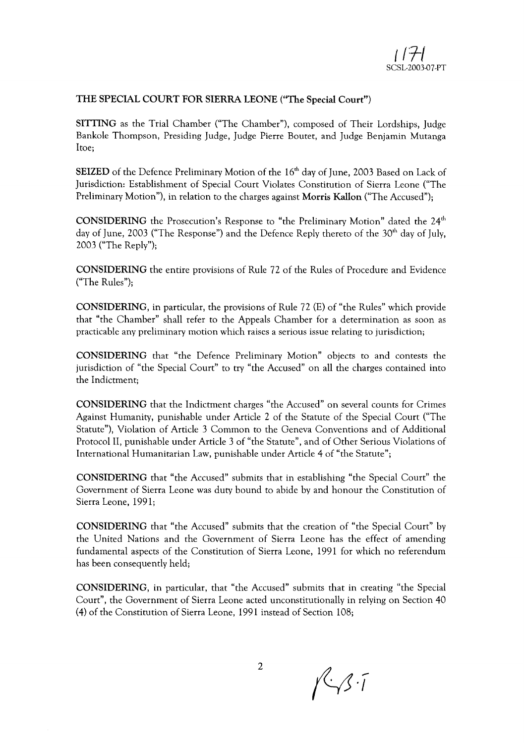$1/7$ SCSL-2003-07-PT

#### THE SPECIAL COURT FOR SIERRA LEONE ("The Special Court")

SITTING as the Trial Chamber ("The Chamber"), composed of Their Lordships, Judge Bankole Thompson, Presiding Judge, Judge Pierre Boutet, and Judge Benjamin Mutanga ltoe;

SEIZED of the Defence Preliminary Motion of the  $16<sup>th</sup>$  day of June, 2003 Based on Lack of Jurisdiction: Establishment of Special Court Violates Constitution of Sierra Leone ("The Preliminary Motion"), in relation to the charges against Morris Kallon ("The Accused");

CONSIDERING the Prosecution's Response to "the Preliminary Motion" dated the 24<sup>th</sup> day of June, 2003 ("The Response") and the Defence Reply thereto of the  $30<sup>th</sup>$  day of July, 2003 ("The Reply");

**CONSIDERING** the entire provisions of Rule 72 of the Rules of Procedure and Evidence ("The Rules");

CONSIDERING, in particular, the provisions of Rule 72 (E) of "the Rules" which provide that "the Chamber" shall refer to the Appeals Chamber for a determination as soon as practicable any preliminary motion which raises a serious issue relating to jurisdiction;

CONSIDERING that "the Defence Preliminary Motion" objects to and contests the jurisdiction of "the Special Court" to try "the Accused" on all the charges contained into the Indictment;

CONSIDERING that the Indictment charges "the Accused" on several counts for Crimes Against Humanity, punishable under Article 2 of the Statute of the Special Court ("The Statute"), Violation of Article 3 Common to the Geneva Conventions and of Additional Protocol II, punishable under Article 3 of "the Statute", and of Other Serious Violations of International Humanitarian Law, punishable under Article 4 of "the Statute";

CONSIDERING that "the Accused" submits that in establishing "the Special Court" the Government of Sierra Leone was duty bound to abide by and honour the Constitution of Sierra Leone, 1991;

CONSIDERING that "the Accused" submits that the creation of "the Special Court" by the United Nations and the Government of Sierra Leone has the effect of amending fundamental aspects of the Constitution of Sierra Leone, 1991 for which no referendum has been consequently held;

CONSIDERING, in particular, that "the Accused" submits that in creating "the Special Court", the Government of Sierra Leone acted unconstitutionally in relying on Section 40 (4) of the Constitution of Sierra Leone, 1991 instead of Section 108;

 $143.7$